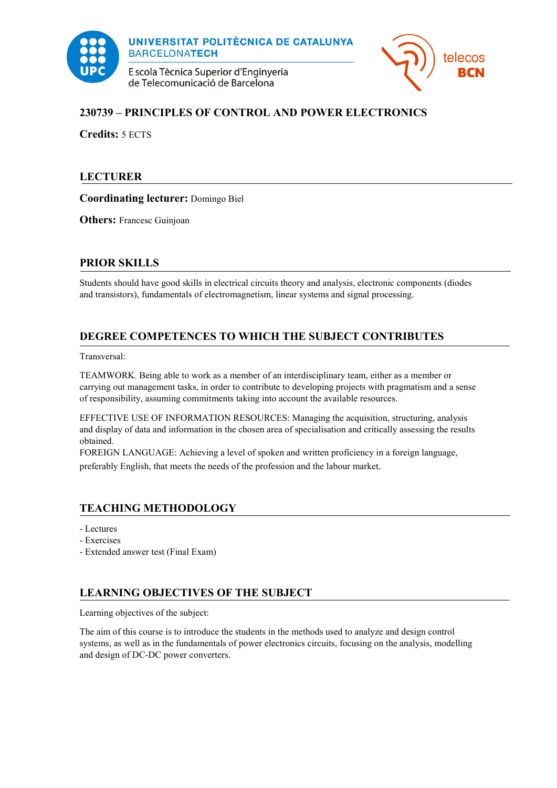



# **230739 – PRINCIPLES OF CONTROL AND POWER ELECTRONICS**

**Credits:** 5 ECTS

## **LECTURER**

**Coordinating lecturer:** Domingo Biel

**Others:** Francesc Guinjoan

## **PRIOR SKILLS**

Students should have good skills in electrical circuits theory and analysis, electronic components (diodes and transistors), fundamentals of electromagnetism, linear systems and signal processing.

# **DEGREE COMPETENCES TO WHICH THE SUBJECT CONTRIBUTES**

Transversal:

TEAMWORK. Being able to work as a member of an interdisciplinary team, either as a member or carrying out management tasks, in order to contribute to developing projects with pragmatism and a sense of responsibility, assuming commitments taking into account the available resources.

EFFECTIVE USE OF INFORMATION RESOURCES: Managing the acquisition, structuring, analysis and display of data and information in the chosen area of specialisation and critically assessing the results obtained.

FOREIGN LANGUAGE: Achieving a level of spoken and written proficiency in a foreign language, preferably English, that meets the needs of the profession and the labour market.

## **TEACHING METHODOLOGY**

- Lectures
- Exercises
- Extended answer test (Final Exam)

## **LEARNING OBJECTIVES OF THE SUBJECT**

Learning objectives of the subject:

The aim of this course is to introduce the students in the methods used to analyze and design control systems, as well as in the fundamentals of power electronics circuits, focusing on the analysis, modelling and design of DC-DC power converters.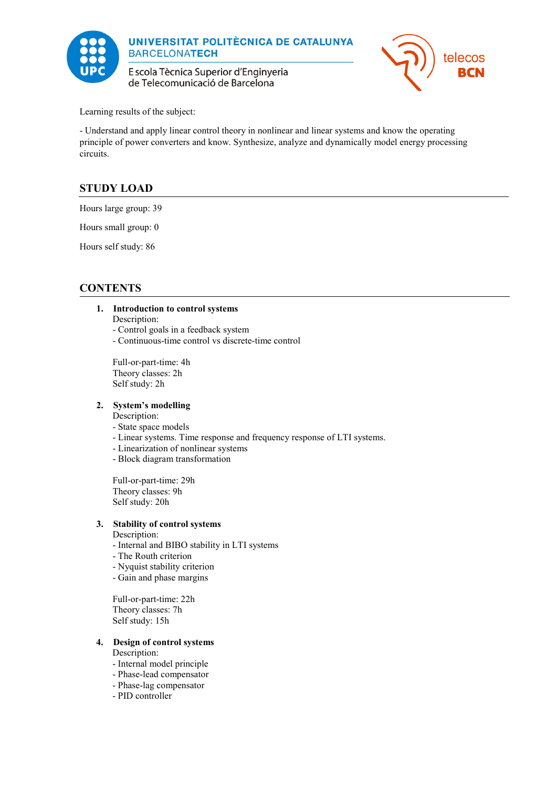

E scola Tècnica Superior d'Enginyeria de Telecomunicació de Barcelona



Learning results of the subject:

- Understand and apply linear control theory in nonlinear and linear systems and know the operating principle of power converters and know. Synthesize, analyze and dynamically model energy processing circuits.

# **STUDY LOAD**

Hours large group: 39

Hours small group: 0

Hours self study: 86

## **CONTENTS**

### **1. Introduction to control systems**

Description:

- Control goals in a feedback system

- Continuous-time control vs discrete-time control

Full-or-part-time: 4h Theory classes: 2h Self study: 2h

### **2. System's modelling**

Description:

- State space models
- Linear systems. Time response and frequency response of LTI systems.
- Linearization of nonlinear systems
- Block diagram transformation

Full-or-part-time: 29h Theory classes: 9h Self study: 20h

### **3. Stability of control systems**

- Description:
- Internal and BIBO stability in LTI systems
- The Routh criterion
- Nyquist stability criterion
- Gain and phase margins

Full-or-part-time: 22h Theory classes: 7h Self study: 15h

### **4. Design of control systems**

Description:

- Internal model principle
- Phase-lead compensator
- Phase-lag compensator
- PID controller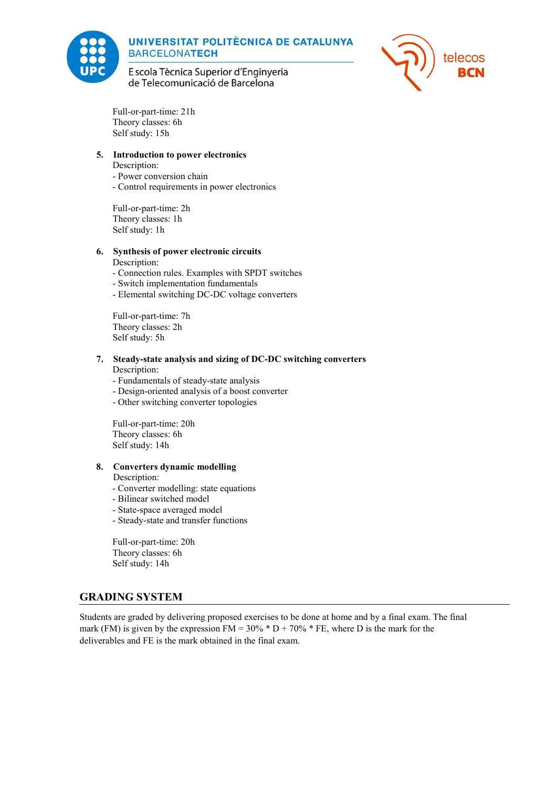



E scola Tècnica Superior d'Enginyeria de Telecomunicació de Barcelona

Full-or-part-time: 21h Theory classes: 6h Self study: 15h

#### **5. Introduction to power electronics**

Description:

- Power conversion chain

- Control requirements in power electronics

Full-or-part-time: 2h Theory classes: 1h Self study: 1h

#### **6. Synthesis of power electronic circuits**

#### Description:

- Connection rules. Examples with SPDT switches
- Switch implementation fundamentals
- Elemental switching DC-DC voltage converters

Full-or-part-time: 7h Theory classes: 2h Self study: 5h

### **7. Steady-state analysis and sizing of DC-DC switching converters**

Description:

- Fundamentals of steady-state analysis
- Design-oriented analysis of a boost converter
- Other switching converter topologies

Full-or-part-time: 20h Theory classes: 6h Self study: 14h

#### **8. Converters dynamic modelling**

Description:

- Converter modelling: state equations
- Bilinear switched model
- State-space averaged model
- Steady-state and transfer functions

Full-or-part-time: 20h Theory classes: 6h Self study: 14h

### **GRADING SYSTEM**

Students are graded by delivering proposed exercises to be done at home and by a final exam. The final mark (FM) is given by the expression FM =  $30\%$  \* D +  $70\%$  \* FE, where D is the mark for the deliverables and FE is the mark obtained in the final exam.